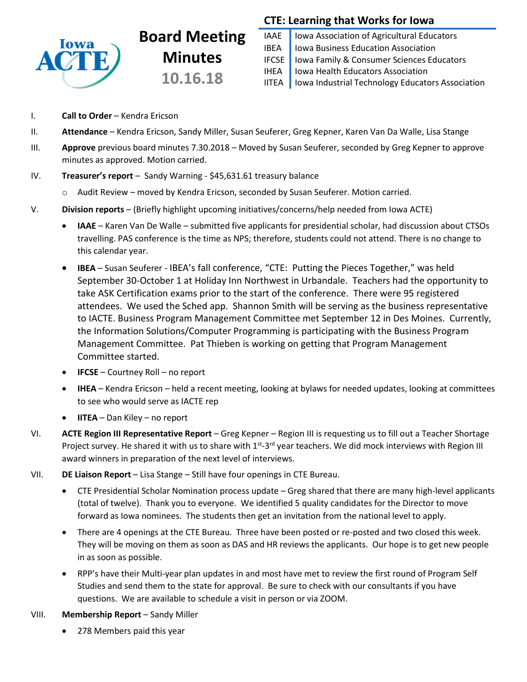

# **Board Meeting Minutes 10.16.18**

# **CTE: Learning that Works for Iowa**

IAAE | Iowa Association of Agricultural Educators IBEA | Iowa Business Education Association IFCSE Iowa Family & Consumer Sciences Educators IHEA | Iowa Health Educators Association IITEA | Iowa Industrial Technology Educators Association

- I. **Call to Order** Kendra Ericson
- II. **Attendance** Kendra Ericson, Sandy Miller, Susan Seuferer, Greg Kepner, Karen Van Da Walle, Lisa Stange
- III. **Approve** previous board minutes 7.30.2018 Moved by Susan Seuferer, seconded by Greg Kepner to approve minutes as approved. Motion carried.
- IV. **Treasurer's report** Sandy Warning \$45,631.61 treasury balance
	- o Audit Review moved by Kendra Ericson, seconded by Susan Seuferer. Motion carried.
- V. **Division reports** (Briefly highlight upcoming initiatives/concerns/help needed from Iowa ACTE)
	- **IAAE** Karen Van De Walle submitted five applicants for presidential scholar, had discussion about CTSOs travelling. PAS conference is the time as NPS; therefore, students could not attend. There is no change to this calendar year.
	- **IBEA** Susan Seuferer IBEA's fall conference, "CTE: Putting the Pieces Together," was held September 30-October 1 at Holiday Inn Northwest in Urbandale. Teachers had the opportunity to take ASK Certification exams prior to the start of the conference. There were 95 registered attendees. We used the Sched app. Shannon Smith will be serving as the business representative to IACTE. Business Program Management Committee met September 12 in Des Moines. Currently, the Information Solutions/Computer Programming is participating with the Business Program Management Committee. Pat Thieben is working on getting that Program Management Committee started.
	- **IFCSE** Courtney Roll no report
	- **IHEA** Kendra Ericson held a recent meeting, looking at bylaws for needed updates, looking at committees to see who would serve as IACTE rep
	- **IITEA** Dan Kiley no report
- VI. **ACTE Region III Representative Report** Greg Kepner Region III is requesting us to fill out a Teacher Shortage Project survey. He shared it with us to share with 1<sup>st</sup>-3<sup>rd</sup> year teachers. We did mock interviews with Region III award winners in preparation of the next level of interviews.
- VII. **DE Liaison Report** Lisa Stange Still have four openings in CTE Bureau.
	- CTE Presidential Scholar Nomination process update Greg shared that there are many high-level applicants (total of twelve). Thank you to everyone. We identified 5 quality candidates for the Director to move forward as Iowa nominees. The students then get an invitation from the national level to apply.
	- There are 4 openings at the CTE Bureau. Three have been posted or re-posted and two closed this week. They will be moving on them as soon as DAS and HR reviews the applicants. Our hope is to get new people in as soon as possible.
	- RPP's have their Multi-year plan updates in and most have met to review the first round of Program Self Studies and send them to the state for approval. Be sure to check with our consultants if you have questions. We are available to schedule a visit in person or via ZOOM.
- VIII. **Membership Report** Sandy Miller
	- 278 Members paid this year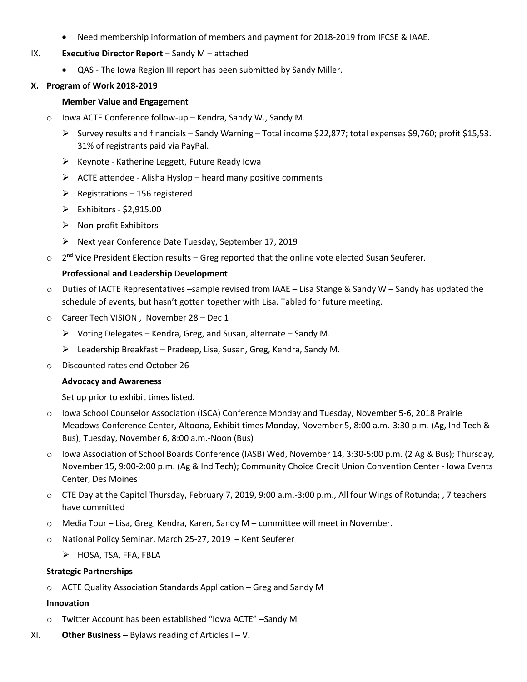- Need membership information of members and payment for 2018-2019 from IFCSE & IAAE.
- IX. **Executive Director Report** Sandy M attached
	- QAS The Iowa Region III report has been submitted by Sandy Miller.

# **X. Program of Work 2018-2019**

# **Member Value and Engagement**

- o Iowa ACTE Conference follow-up Kendra, Sandy W., Sandy M.
	- Survey results and financials Sandy Warning Total income \$22,877; total expenses \$9,760; profit \$15,53. 31% of registrants paid via PayPal.
	- $\triangleright$  Keynote Katherine Leggett, Future Ready Iowa
	- $\triangleright$  ACTE attendee Alisha Hyslop heard many positive comments
	- $\triangleright$  Registrations 156 registered
	- $\triangleright$  Exhibitors \$2,915.00
	- $\triangleright$  Non-profit Exhibitors
	- Next year Conference Date Tuesday, September 17, 2019
- $\circ$  2<sup>nd</sup> Vice President Election results Greg reported that the online vote elected Susan Seuferer.

# **Professional and Leadership Development**

- o Duties of IACTE Representatives –sample revised from IAAE Lisa Stange & Sandy W Sandy has updated the schedule of events, but hasn't gotten together with Lisa. Tabled for future meeting.
- o Career Tech VISION , November 28 Dec 1
	- $\triangleright$  Voting Delegates Kendra, Greg, and Susan, alternate Sandy M.
	- $\triangleright$  Leadership Breakfast Pradeep, Lisa, Susan, Greg, Kendra, Sandy M.
- o Discounted rates end October 26

# **Advocacy and Awareness**

Set up prior to exhibit times listed.

- o Iowa School Counselor Association (ISCA) Conference Monday and Tuesday, November 5-6, 2018 Prairie Meadows Conference Center, Altoona, Exhibit times Monday, November 5, 8:00 a.m.-3:30 p.m. (Ag, Ind Tech & Bus); Tuesday, November 6, 8:00 a.m.-Noon (Bus)
- o Iowa Association of School Boards Conference (IASB) Wed, November 14, 3:30-5:00 p.m. (2 Ag & Bus); Thursday, November 15, 9:00-2:00 p.m. (Ag & Ind Tech); Community Choice Credit Union Convention Center - Iowa Events Center, Des Moines
- o CTE Day at the Capitol Thursday, February 7, 2019, 9:00 a.m.-3:00 p.m., All four Wings of Rotunda; , 7 teachers have committed
- o Media Tour Lisa, Greg, Kendra, Karen, Sandy M committee will meet in November.
- o National Policy Seminar, March 25-27, 2019 Kent Seuferer
	- > HOSA, TSA, FFA, FBLA

# **Strategic Partnerships**

o ACTE Quality Association Standards Application – Greg and Sandy M

# **Innovation**

- o Twitter Account has been established "Iowa ACTE" –Sandy M
- XI. **Other Business** Bylaws reading of Articles I V.